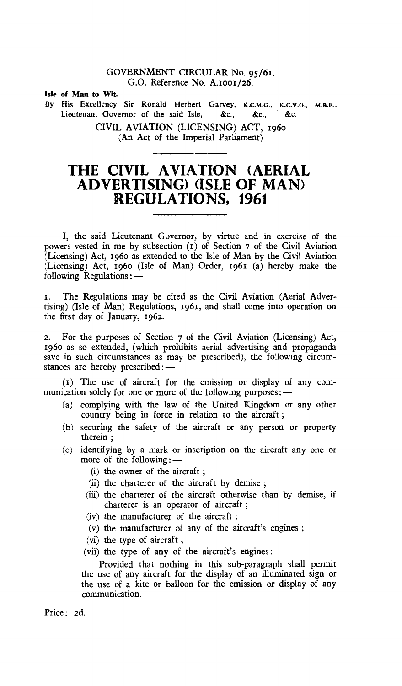## GOVERNMENT CIRCULAR No. 95/61. G.O. Reference No. **A.IooI/26.**

**We of Man to Wit.** 

By His Excellency Sir Ronald Herbert Garvey, K.C.M.G., K.C.V.O., M.B.E., Lieutenant Governor of the said Isle, &c., &c., &c.

> CIVIL AVIATION (LICENSING) ACT, 196o (An Act of the Imperial Parliament)

## **THE CIVIL AVIATION (AERIAL ADVERTISING) (ISLE OF MAN) REGULATIONS, 1961**

I, the said Lieutenant Governor, by virtue and in exercise of the powers vested in me by subsection (t) of Section 7 of the Civil Aviation (Licensing) Act, 196o as extended to the Isle of Man by the Civil Aviation (Licensing) Act, 196o (Isle of Man) Order, 1961 (a) hereby make the following Regulations:—

f. The Regulations may be cited as the Civil Aviation (Aerial Advertising) (Isle of Man) Regulations, 1961, and shall come into operation on the first day of January, 1962.

2. For the purposes of Section 7 of the Civil Aviation (Licensing) Act, 196o as so extended, (which prohibits aerial advertising and propaganda save in such circumstances as may be prescribed), the following circumstances are hereby prescribed : -

(1) The use of aircraft for the emission or display of any communication solely for one or more of the following purposes : -

- (a) complying with the law of the United Kingdom or any other country being in force in relation to the aircraft ;
- (b) securing the safety of the aircraft or any person or property therein ;
- (c) identifying by a mark or inscription on the aircraft any one or more of the following:—
	- (i) the owner of the aircraft ;
	- (ii) the charterer of the aircraft by demise;
	- (iii) the charterer of the aircraft otherwise than by demise, if charterer is an operator of aircraft ;
	- (iv) the manufacturer of the aircraft ;
	- (v) the manufacturer of any of the aircraft's engines ;
	- (vi) the type of aircraft ;
	- (vii) the type of any of the aircraft's engines:

Provided that nothing in this sub-paragraph shall permit the use of any aircraft for the display of an illuminated sign or the use of a kite or balloon for the emission or display of any communication.

Price: 2d.